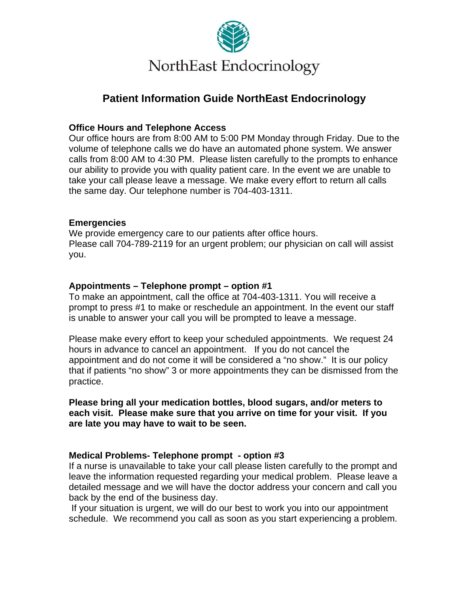

# **Patient Information Guide NorthEast Endocrinology**

## **Office Hours and Telephone Access**

Our office hours are from 8:00 AM to 5:00 PM Monday through Friday. Due to the volume of telephone calls we do have an automated phone system. We answer calls from 8:00 AM to 4:30 PM. Please listen carefully to the prompts to enhance our ability to provide you with quality patient care. In the event we are unable to take your call please leave a message. We make every effort to return all calls the same day. Our telephone number is 704-403-1311.

## **Emergencies**

We provide emergency care to our patients after office hours. Please call 704-789-2119 for an urgent problem; our physician on call will assist you.

# **Appointments – Telephone prompt – option #1**

To make an appointment, call the office at 704-403-1311. You will receive a prompt to press #1 to make or reschedule an appointment. In the event our staff is unable to answer your call you will be prompted to leave a message.

Please make every effort to keep your scheduled appointments. We request 24 hours in advance to cancel an appointment. If you do not cancel the appointment and do not come it will be considered a "no show." It is our policy that if patients "no show" 3 or more appointments they can be dismissed from the practice.

**Please bring all your medication bottles, blood sugars, and/or meters to each visit. Please make sure that you arrive on time for your visit. If you are late you may have to wait to be seen.**

## **Medical Problems- Telephone prompt - option #3**

If a nurse is unavailable to take your call please listen carefully to the prompt and leave the information requested regarding your medical problem. Please leave a detailed message and we will have the doctor address your concern and call you back by the end of the business day.

 If your situation is urgent, we will do our best to work you into our appointment schedule. We recommend you call as soon as you start experiencing a problem.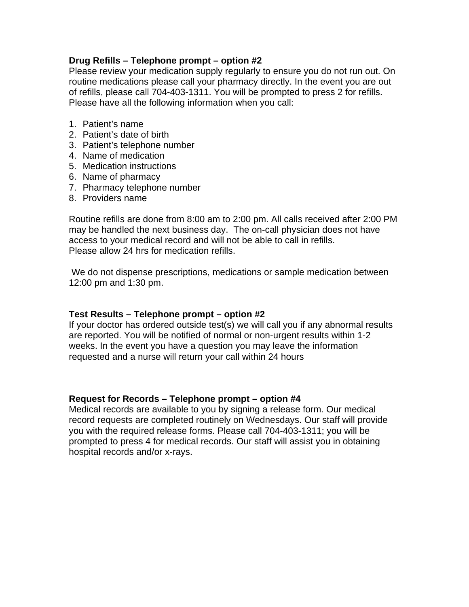### **Drug Refills – Telephone prompt – option #2**

Please review your medication supply regularly to ensure you do not run out. On routine medications please call your pharmacy directly. In the event you are out of refills, please call 704-403-1311. You will be prompted to press 2 for refills. Please have all the following information when you call:

- 1. Patient's name
- 2. Patient's date of birth
- 3. Patient's telephone number
- 4. Name of medication
- 5. Medication instructions
- 6. Name of pharmacy
- 7. Pharmacy telephone number
- 8. Providers name

Routine refills are done from 8:00 am to 2:00 pm. All calls received after 2:00 PM may be handled the next business day. The on-call physician does not have access to your medical record and will not be able to call in refills. Please allow 24 hrs for medication refills.

 We do not dispense prescriptions, medications or sample medication between 12:00 pm and 1:30 pm.

## **Test Results – Telephone prompt – option #2**

If your doctor has ordered outside test(s) we will call you if any abnormal results are reported. You will be notified of normal or non-urgent results within 1-2 weeks. In the event you have a question you may leave the information requested and a nurse will return your call within 24 hours

#### **Request for Records – Telephone prompt – option #4**

Medical records are available to you by signing a release form. Our medical record requests are completed routinely on Wednesdays. Our staff will provide you with the required release forms. Please call 704-403-1311; you will be prompted to press 4 for medical records. Our staff will assist you in obtaining hospital records and/or x-rays.